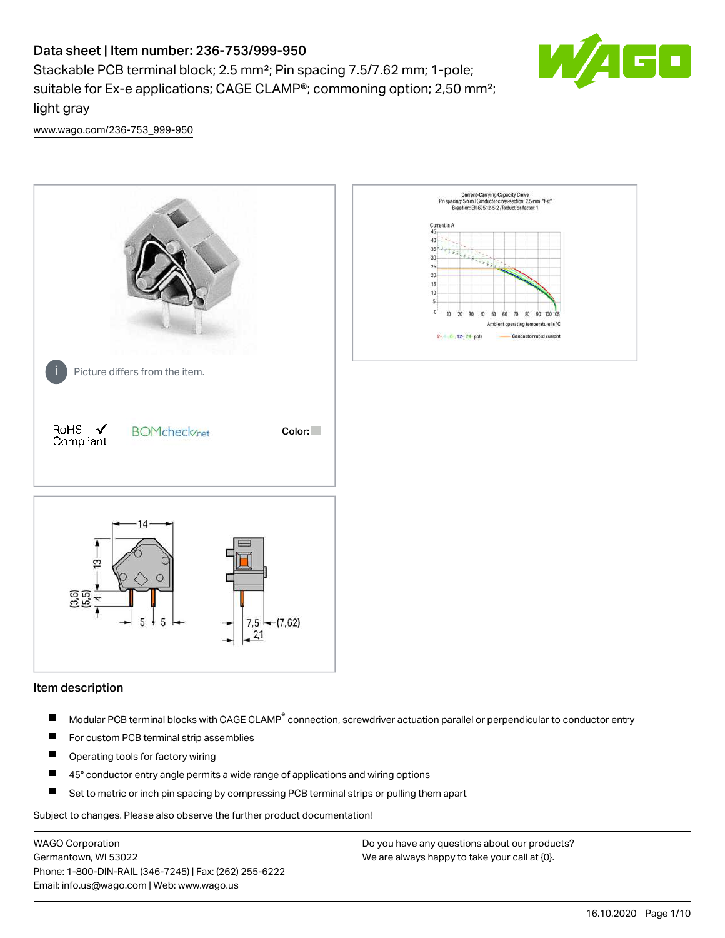# Data sheet | Item number: 236-753/999-950

Stackable PCB terminal block; 2.5 mm²; Pin spacing 7.5/7.62 mm; 1-pole; suitable for Ex-e applications; CAGE CLAMP®; commoning option; 2,50 mm²; light gray



[www.wago.com/236-753\\_999-950](http://www.wago.com/236-753_999-950)



#### Item description

- Modular PCB terminal blocks with CAGE CLAMP<sup>®</sup> connection, screwdriver actuation parallel or perpendicular to conductor entry П
- $\blacksquare$ For custom PCB terminal strip assemblies
- П Operating tools for factory wiring
- $\blacksquare$ 45° conductor entry angle permits a wide range of applications and wiring options
- П Set to metric or inch pin spacing by compressing PCB terminal strips or pulling them apart

Subject to changes. Please also observe the further product documentation!

WAGO Corporation Germantown, WI 53022 Phone: 1-800-DIN-RAIL (346-7245) | Fax: (262) 255-6222 Email: info.us@wago.com | Web: www.wago.us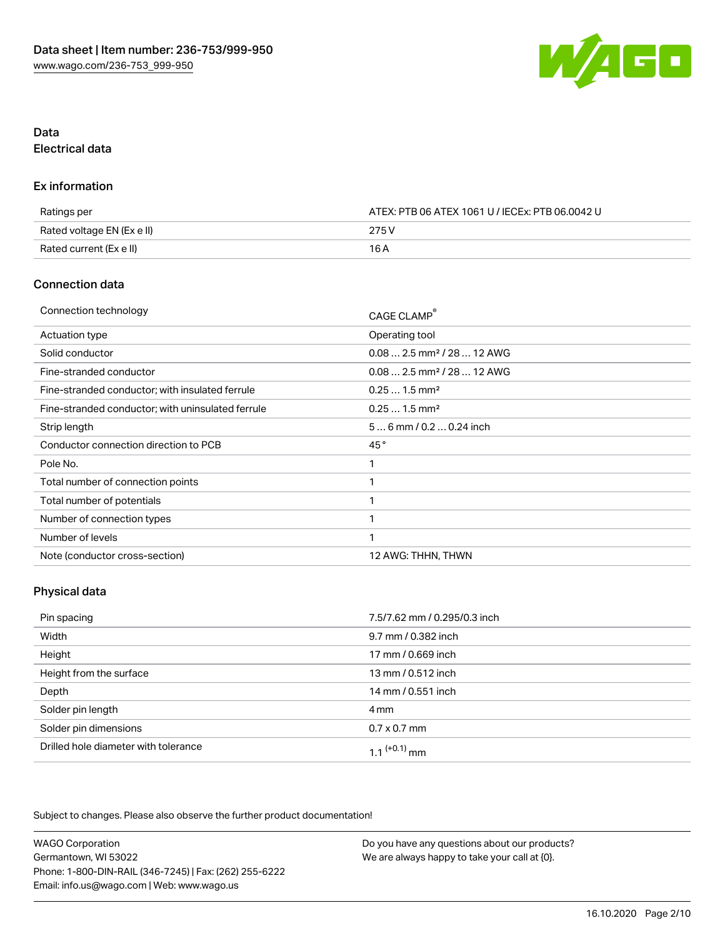

## Data Electrical data

#### Ex information

| Ratings per                | ATEX: PTB 06 ATEX 1061 U / IECEx: PTB 06.0042 U |
|----------------------------|-------------------------------------------------|
| Rated voltage EN (Ex e II) | 275 V                                           |
| Rated current (Ex e II)    | 16 A                                            |

## Connection data

| Connection technology                             | CAGE CLAMP®                            |
|---------------------------------------------------|----------------------------------------|
| <b>Actuation type</b>                             | Operating tool                         |
| Solid conductor                                   | $0.082.5$ mm <sup>2</sup> / 28  12 AWG |
| Fine-stranded conductor                           | $0.082.5$ mm <sup>2</sup> / 28  12 AWG |
| Fine-stranded conductor; with insulated ferrule   | $0.251.5$ mm <sup>2</sup>              |
| Fine-stranded conductor; with uninsulated ferrule | $0.251.5$ mm <sup>2</sup>              |
| Strip length                                      | $56$ mm $/ 0.20.24$ inch               |
| Conductor connection direction to PCB             | 45°                                    |
| Pole No.                                          |                                        |
| Total number of connection points                 | ◂                                      |
| Total number of potentials                        | 1                                      |
| Number of connection types                        |                                        |
| Number of levels                                  | 1                                      |
| Note (conductor cross-section)                    | 12 AWG: THHN, THWN                     |

## Physical data

| Pin spacing                          | 7.5/7.62 mm / 0.295/0.3 inch |
|--------------------------------------|------------------------------|
| Width                                | 9.7 mm / 0.382 inch          |
| Height                               | 17 mm / 0.669 inch           |
| Height from the surface              | 13 mm / 0.512 inch           |
| Depth                                | 14 mm / 0.551 inch           |
| Solder pin length                    | 4 mm                         |
| Solder pin dimensions                | $0.7 \times 0.7$ mm          |
| Drilled hole diameter with tolerance | $1.1$ <sup>(+0.1)</sup> mm   |

Subject to changes. Please also observe the further product documentation!

| <b>WAGO Corporation</b>                                | Do you have any questions about our products? |
|--------------------------------------------------------|-----------------------------------------------|
| Germantown, WI 53022                                   | We are always happy to take your call at {0}. |
| Phone: 1-800-DIN-RAIL (346-7245)   Fax: (262) 255-6222 |                                               |
| Email: info.us@wago.com   Web: www.wago.us             |                                               |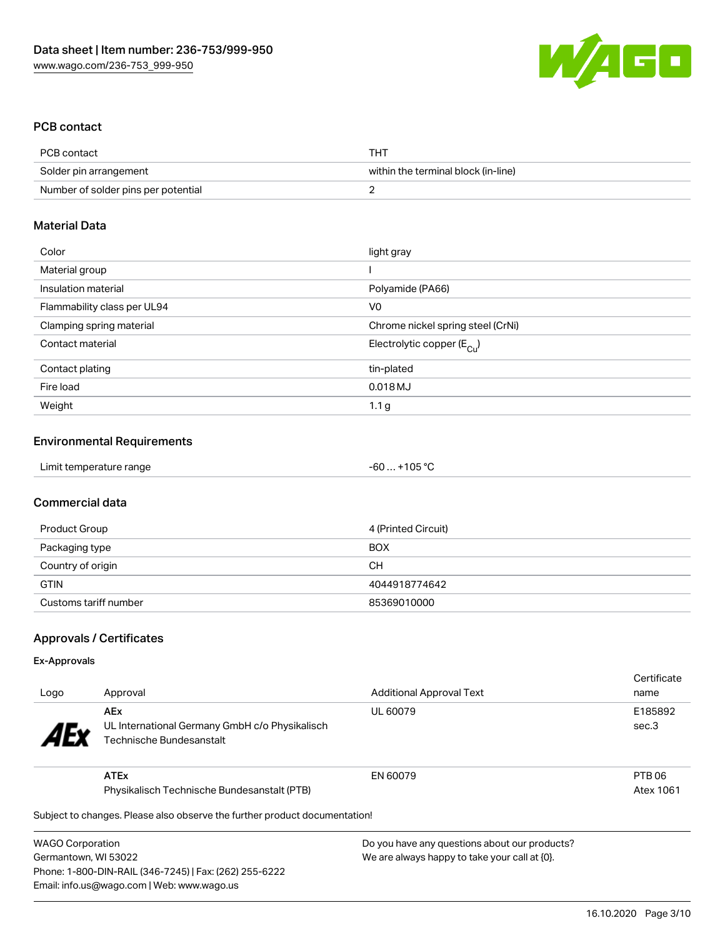

## PCB contact

| PCB contact                         | THT                                 |
|-------------------------------------|-------------------------------------|
| Solder pin arrangement              | within the terminal block (in-line) |
| Number of solder pins per potential |                                     |

#### Material Data

| Color                       | light gray                            |
|-----------------------------|---------------------------------------|
| Material group              |                                       |
| Insulation material         | Polyamide (PA66)                      |
| Flammability class per UL94 | V <sub>0</sub>                        |
| Clamping spring material    | Chrome nickel spring steel (CrNi)     |
| Contact material            | Electrolytic copper $(E_{\text{Cl}})$ |
| Contact plating             | tin-plated                            |
| Fire load                   | 0.018 MJ                              |
| Weight                      | 1.1 <sub>g</sub>                      |

#### Environmental Requirements

| Limit temperature range | $-60+105 °C$ |  |
|-------------------------|--------------|--|
|-------------------------|--------------|--|

#### Commercial data

| Product Group         | 4 (Printed Circuit) |
|-----------------------|---------------------|
| Packaging type        | <b>BOX</b>          |
| Country of origin     | CН                  |
| <b>GTIN</b>           | 4044918774642       |
| Customs tariff number | 85369010000         |

## Approvals / Certificates

#### Ex-Approvals

| Logo                  | Approval                                                                                 | <b>Additional Approval Text</b> | Certificate<br>name |
|-----------------------|------------------------------------------------------------------------------------------|---------------------------------|---------------------|
| <b>AE<sub>y</sub></b> | <b>AEx</b><br>UL International Germany GmbH c/o Physikalisch<br>Technische Bundesanstalt | UL 60079                        | E185892<br>sec.3    |
|                       | <b>ATEx</b>                                                                              | EN 60079                        | PTB 06              |
|                       | Physikalisch Technische Bundesanstalt (PTB)                                              |                                 | Atex 1061           |
|                       | Subject to changes. Please also observe the further product documentation!               |                                 |                     |

 $\mathfrak p$ ject to changes. Please also observe the further product documentatio

WAGO Corporation Germantown, WI 53022 Phone: 1-800-DIN-RAIL (346-7245) | Fax: (262) 255-6222 Email: info.us@wago.com | Web: www.wago.us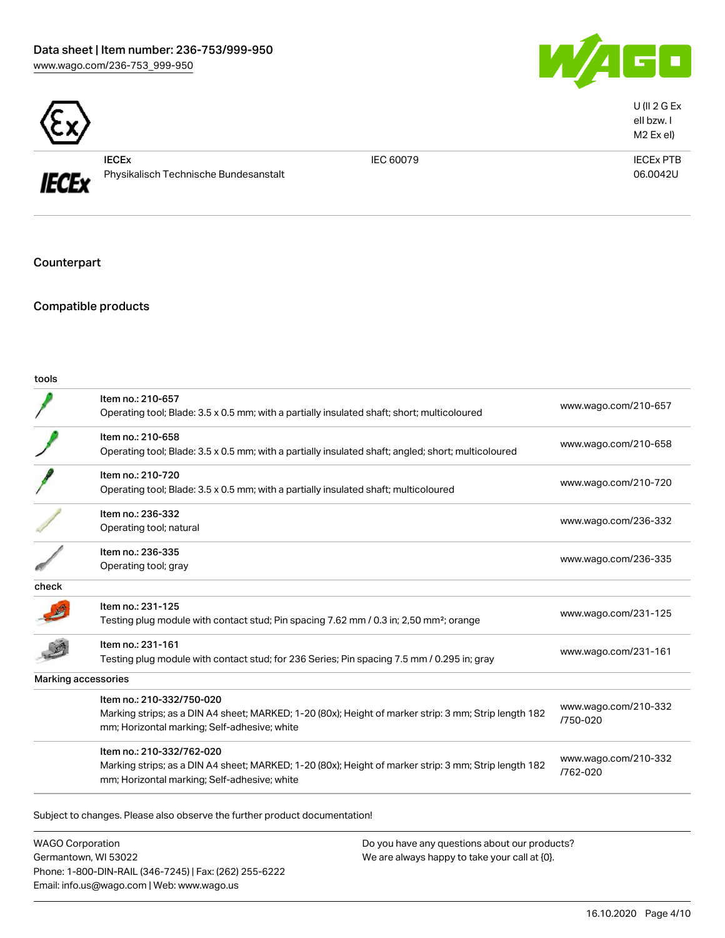



| <b>IECE<sub>x</sub></b>               |
|---------------------------------------|
| Physikalisch Technische Bundesanstalt |

IEC 60079 IECEx PTB 06.0042U

U (II 2 G Ex eII bzw. I M2 Ex eI)

Counterpart

Compatible products

| I<br>×<br>۰.<br>$-$<br>v<br>۰.<br>× |
|-------------------------------------|
|-------------------------------------|

|       | Item no.: 210-657                                                                                     |                      |  |
|-------|-------------------------------------------------------------------------------------------------------|----------------------|--|
|       | Operating tool; Blade: 3.5 x 0.5 mm; with a partially insulated shaft; short; multicoloured           | www.wago.com/210-657 |  |
|       | Item no.: 210-658                                                                                     | www.wago.com/210-658 |  |
|       | Operating tool; Blade: 3.5 x 0.5 mm; with a partially insulated shaft; angled; short; multicoloured   |                      |  |
|       | Item no.: 210-720                                                                                     |                      |  |
|       | Operating tool; Blade: 3.5 x 0.5 mm; with a partially insulated shaft; multicoloured                  | www.wago.com/210-720 |  |
|       | Item no.: 236-332                                                                                     |                      |  |
|       | Operating tool; natural                                                                               | www.wago.com/236-332 |  |
|       | Item no.: 236-335                                                                                     |                      |  |
|       | Operating tool; gray                                                                                  | www.wago.com/236-335 |  |
| check |                                                                                                       |                      |  |
|       | Item no.: 231-125                                                                                     | www.wago.com/231-125 |  |
|       | Testing plug module with contact stud; Pin spacing 7.62 mm / 0.3 in; 2,50 mm <sup>2</sup> ; orange    |                      |  |
|       | Item no.: 231-161                                                                                     |                      |  |
|       | Testing plug module with contact stud; for 236 Series; Pin spacing 7.5 mm / 0.295 in; gray            | www.wago.com/231-161 |  |
|       | Marking accessories                                                                                   |                      |  |
|       | Item no.: 210-332/750-020                                                                             | www.wago.com/210-332 |  |
|       | Marking strips; as a DIN A4 sheet; MARKED; 1-20 (80x); Height of marker strip: 3 mm; Strip length 182 | /750-020             |  |
|       | mm; Horizontal marking; Self-adhesive; white                                                          |                      |  |
|       | Item no.: 210-332/762-020                                                                             | www.wago.com/210-332 |  |
|       | Marking strips; as a DIN A4 sheet; MARKED; 1-20 (80x); Height of marker strip: 3 mm; Strip length 182 | /762-020             |  |
|       | mm; Horizontal marking; Self-adhesive; white                                                          |                      |  |

WAGO Corporation Germantown, WI 53022 Phone: 1-800-DIN-RAIL (346-7245) | Fax: (262) 255-6222 Email: info.us@wago.com | Web: www.wago.us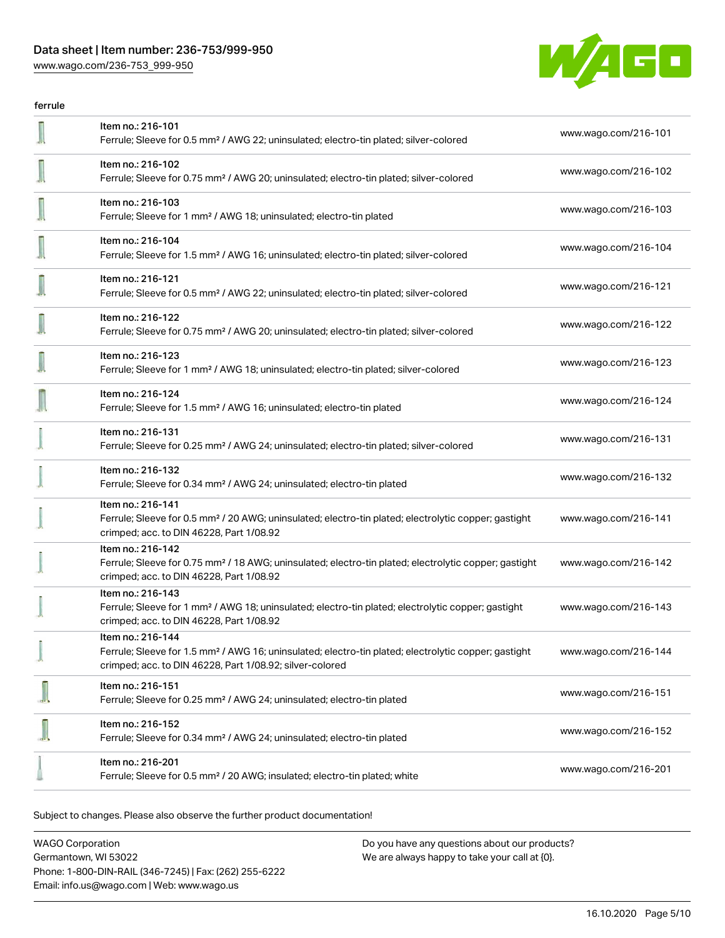## Data sheet | Item number: 236-753/999-950

[www.wago.com/236-753\\_999-950](http://www.wago.com/236-753_999-950)



| ferrule |                                                                                                                                                                                                   |                      |
|---------|---------------------------------------------------------------------------------------------------------------------------------------------------------------------------------------------------|----------------------|
|         | Item no.: 216-101<br>Ferrule; Sleeve for 0.5 mm <sup>2</sup> / AWG 22; uninsulated; electro-tin plated; silver-colored                                                                            | www.wago.com/216-101 |
|         | Item no.: 216-102<br>Ferrule; Sleeve for 0.75 mm <sup>2</sup> / AWG 20; uninsulated; electro-tin plated; silver-colored                                                                           | www.wago.com/216-102 |
|         | Item no.: 216-103<br>Ferrule; Sleeve for 1 mm <sup>2</sup> / AWG 18; uninsulated; electro-tin plated                                                                                              | www.wago.com/216-103 |
|         | Item no.: 216-104<br>Ferrule; Sleeve for 1.5 mm <sup>2</sup> / AWG 16; uninsulated; electro-tin plated; silver-colored                                                                            | www.wago.com/216-104 |
|         | Item no.: 216-121<br>Ferrule; Sleeve for 0.5 mm <sup>2</sup> / AWG 22; uninsulated; electro-tin plated; silver-colored                                                                            | www.wago.com/216-121 |
|         | Item no.: 216-122<br>Ferrule; Sleeve for 0.75 mm <sup>2</sup> / AWG 20; uninsulated; electro-tin plated; silver-colored                                                                           | www.wago.com/216-122 |
|         | Item no.: 216-123<br>Ferrule; Sleeve for 1 mm <sup>2</sup> / AWG 18; uninsulated; electro-tin plated; silver-colored                                                                              | www.wago.com/216-123 |
|         | Item no.: 216-124<br>Ferrule; Sleeve for 1.5 mm <sup>2</sup> / AWG 16; uninsulated; electro-tin plated                                                                                            | www.wago.com/216-124 |
|         | Item no.: 216-131<br>Ferrule; Sleeve for 0.25 mm <sup>2</sup> / AWG 24; uninsulated; electro-tin plated; silver-colored                                                                           | www.wago.com/216-131 |
|         | Item no.: 216-132<br>Ferrule; Sleeve for 0.34 mm <sup>2</sup> / AWG 24; uninsulated; electro-tin plated                                                                                           | www.wago.com/216-132 |
|         | Item no.: 216-141<br>Ferrule; Sleeve for 0.5 mm <sup>2</sup> / 20 AWG; uninsulated; electro-tin plated; electrolytic copper; gastight<br>crimped; acc. to DIN 46228, Part 1/08.92                 | www.wago.com/216-141 |
|         | Item no.: 216-142<br>Ferrule; Sleeve for 0.75 mm <sup>2</sup> / 18 AWG; uninsulated; electro-tin plated; electrolytic copper; gastight<br>crimped; acc. to DIN 46228, Part 1/08.92                | www.wago.com/216-142 |
|         | Item no.: 216-143<br>Ferrule; Sleeve for 1 mm <sup>2</sup> / AWG 18; uninsulated; electro-tin plated; electrolytic copper; gastight<br>crimped; acc. to DIN 46228, Part 1/08.92                   | www.wago.com/216-143 |
|         | Item no.: 216-144<br>Ferrule; Sleeve for 1.5 mm <sup>2</sup> / AWG 16; uninsulated; electro-tin plated; electrolytic copper; gastight<br>crimped; acc. to DIN 46228, Part 1/08.92; silver-colored | www.wago.com/216-144 |
|         | Item no.: 216-151<br>Ferrule; Sleeve for 0.25 mm <sup>2</sup> / AWG 24; uninsulated; electro-tin plated                                                                                           | www.wago.com/216-151 |
|         | Item no.: 216-152<br>Ferrule; Sleeve for 0.34 mm <sup>2</sup> / AWG 24; uninsulated; electro-tin plated                                                                                           | www.wago.com/216-152 |
|         | Item no.: 216-201<br>Ferrule; Sleeve for 0.5 mm <sup>2</sup> / 20 AWG; insulated; electro-tin plated; white                                                                                       | www.wago.com/216-201 |

Subject to changes. Please also observe the further product documentation!

WAGO Corporation Germantown, WI 53022 Phone: 1-800-DIN-RAIL (346-7245) | Fax: (262) 255-6222 Email: info.us@wago.com | Web: www.wago.us Do you have any questions about our products? We are always happy to take your call at {0}.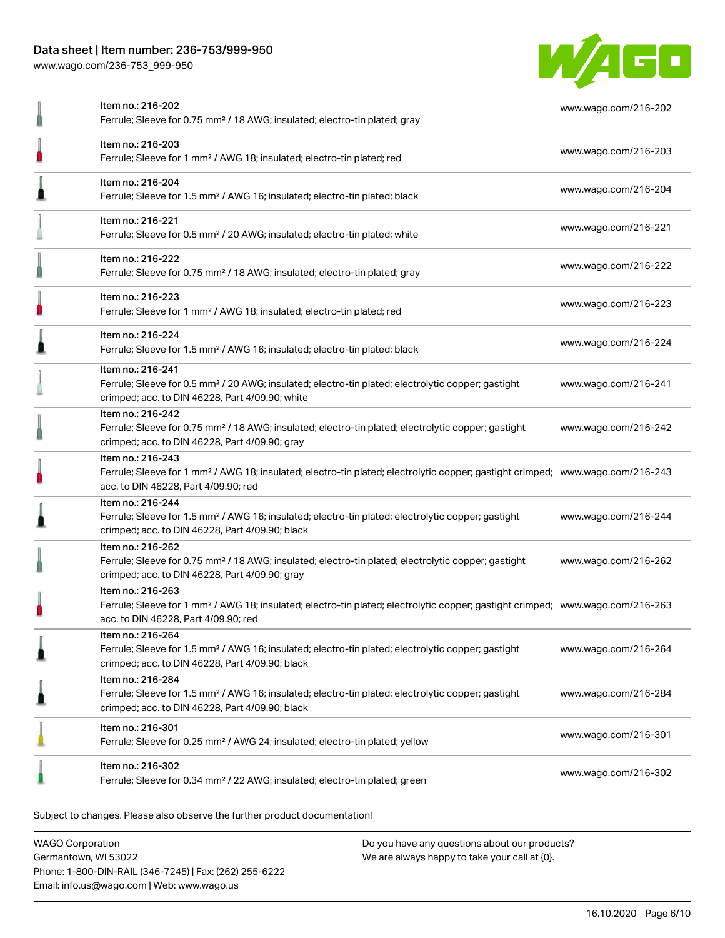## Data sheet | Item number: 236-753/999-950

[www.wago.com/236-753\\_999-950](http://www.wago.com/236-753_999-950)



| Item no.: 216-202<br>Ferrule; Sleeve for 0.75 mm <sup>2</sup> / 18 AWG; insulated; electro-tin plated; gray                                                                                             | www.wago.com/216-202 |
|---------------------------------------------------------------------------------------------------------------------------------------------------------------------------------------------------------|----------------------|
| Item no.: 216-203<br>Ferrule; Sleeve for 1 mm <sup>2</sup> / AWG 18; insulated; electro-tin plated; red                                                                                                 | www.wago.com/216-203 |
| Item no.: 216-204<br>Ferrule; Sleeve for 1.5 mm <sup>2</sup> / AWG 16; insulated; electro-tin plated; black                                                                                             | www.wago.com/216-204 |
| Item no.: 216-221<br>Ferrule; Sleeve for 0.5 mm <sup>2</sup> / 20 AWG; insulated; electro-tin plated; white                                                                                             | www.wago.com/216-221 |
| Item no.: 216-222<br>Ferrule; Sleeve for 0.75 mm <sup>2</sup> / 18 AWG; insulated; electro-tin plated; gray                                                                                             | www.wago.com/216-222 |
| Item no.: 216-223<br>Ferrule; Sleeve for 1 mm <sup>2</sup> / AWG 18; insulated; electro-tin plated; red                                                                                                 | www.wago.com/216-223 |
| Item no.: 216-224<br>Ferrule; Sleeve for 1.5 mm <sup>2</sup> / AWG 16; insulated; electro-tin plated; black                                                                                             | www.wago.com/216-224 |
| Item no.: 216-241<br>Ferrule; Sleeve for 0.5 mm <sup>2</sup> / 20 AWG; insulated; electro-tin plated; electrolytic copper; gastight<br>crimped; acc. to DIN 46228, Part 4/09.90; white                  | www.wago.com/216-241 |
| Item no.: 216-242<br>Ferrule; Sleeve for 0.75 mm <sup>2</sup> / 18 AWG; insulated; electro-tin plated; electrolytic copper; gastight<br>crimped; acc. to DIN 46228, Part 4/09.90; gray                  | www.wago.com/216-242 |
| Item no.: 216-243<br>Ferrule; Sleeve for 1 mm <sup>2</sup> / AWG 18; insulated; electro-tin plated; electrolytic copper; gastight crimped; www.wago.com/216-243<br>acc. to DIN 46228, Part 4/09.90; red |                      |
| Item no.: 216-244<br>Ferrule; Sleeve for 1.5 mm <sup>2</sup> / AWG 16; insulated; electro-tin plated; electrolytic copper; gastight<br>crimped; acc. to DIN 46228, Part 4/09.90; black                  | www.wago.com/216-244 |
| Item no.: 216-262<br>Ferrule; Sleeve for 0.75 mm <sup>2</sup> / 18 AWG; insulated; electro-tin plated; electrolytic copper; gastight<br>crimped; acc. to DIN 46228, Part 4/09.90; gray                  | www.wago.com/216-262 |
| Item no.: 216-263<br>Ferrule; Sleeve for 1 mm <sup>2</sup> / AWG 18; insulated; electro-tin plated; electrolytic copper; gastight crimped; www.wago.com/216-263<br>acc. to DIN 46228, Part 4/09.90; red |                      |
| Item no.: 216-264<br>Ferrule; Sleeve for 1.5 mm <sup>2</sup> / AWG 16; insulated; electro-tin plated; electrolytic copper; gastight<br>crimped; acc. to DIN 46228, Part 4/09.90; black                  | www.wago.com/216-264 |
| Item no.: 216-284<br>Ferrule; Sleeve for 1.5 mm <sup>2</sup> / AWG 16; insulated; electro-tin plated; electrolytic copper; gastight<br>crimped; acc. to DIN 46228, Part 4/09.90; black                  | www.wago.com/216-284 |
| Item no.: 216-301<br>Ferrule; Sleeve for 0.25 mm <sup>2</sup> / AWG 24; insulated; electro-tin plated; yellow                                                                                           | www.wago.com/216-301 |
| Item no.: 216-302<br>Ferrule; Sleeve for 0.34 mm <sup>2</sup> / 22 AWG; insulated; electro-tin plated; green                                                                                            | www.wago.com/216-302 |

Subject to changes. Please also observe the further product documentation!

WAGO Corporation Germantown, WI 53022 Phone: 1-800-DIN-RAIL (346-7245) | Fax: (262) 255-6222 Email: info.us@wago.com | Web: www.wago.us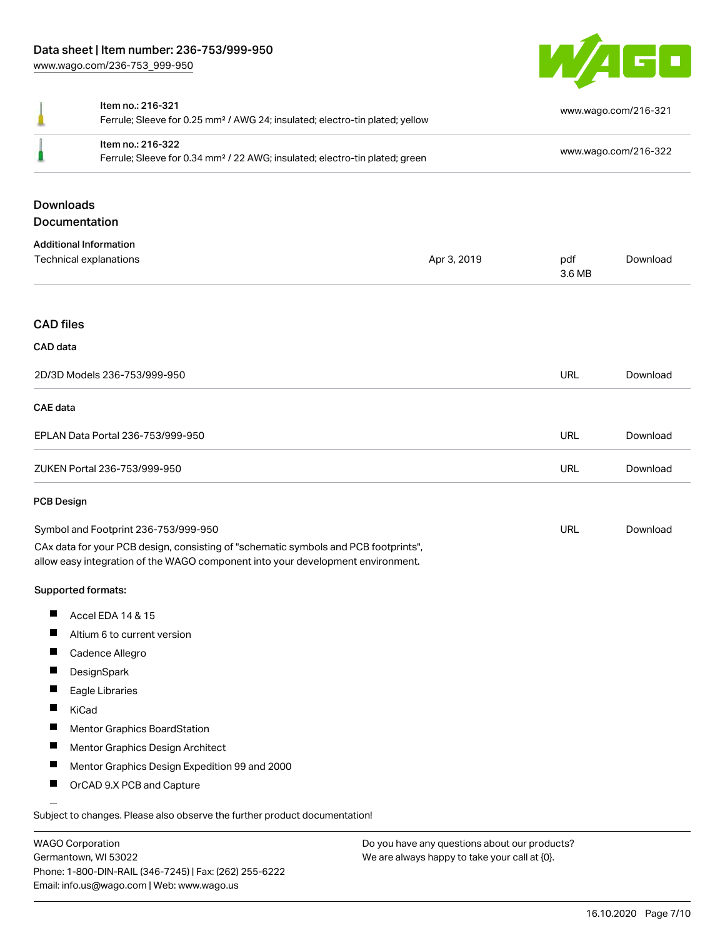

| д                                    | Item no.: 216-321<br>Ferrule; Sleeve for 0.25 mm <sup>2</sup> / AWG 24; insulated; electro-tin plated; yellow                                                          |             |                      | www.wago.com/216-321 |  |
|--------------------------------------|------------------------------------------------------------------------------------------------------------------------------------------------------------------------|-------------|----------------------|----------------------|--|
|                                      | Item no.: 216-322<br>Ferrule; Sleeve for 0.34 mm <sup>2</sup> / 22 AWG; insulated; electro-tin plated; green                                                           |             | www.wago.com/216-322 |                      |  |
|                                      | <b>Downloads</b><br>Documentation                                                                                                                                      |             |                      |                      |  |
|                                      | <b>Additional Information</b>                                                                                                                                          |             |                      |                      |  |
|                                      | Technical explanations                                                                                                                                                 | Apr 3, 2019 | pdf<br>3.6 MB        | Download             |  |
| <b>CAD files</b>                     |                                                                                                                                                                        |             |                      |                      |  |
| CAD data                             |                                                                                                                                                                        |             |                      |                      |  |
| 2D/3D Models 236-753/999-950         |                                                                                                                                                                        | <b>URL</b>  | Download             |                      |  |
| <b>CAE</b> data                      |                                                                                                                                                                        |             |                      |                      |  |
| EPLAN Data Portal 236-753/999-950    |                                                                                                                                                                        |             | <b>URL</b>           | Download             |  |
| ZUKEN Portal 236-753/999-950         |                                                                                                                                                                        |             | <b>URL</b>           | Download             |  |
| <b>PCB Design</b>                    |                                                                                                                                                                        |             |                      |                      |  |
| Symbol and Footprint 236-753/999-950 |                                                                                                                                                                        | <b>URL</b>  | Download             |                      |  |
|                                      | CAx data for your PCB design, consisting of "schematic symbols and PCB footprints",<br>allow easy integration of the WAGO component into your development environment. |             |                      |                      |  |
|                                      | Supported formats:                                                                                                                                                     |             |                      |                      |  |
| ш                                    | Accel EDA 14 & 15                                                                                                                                                      |             |                      |                      |  |
| ш                                    | Altium 6 to current version                                                                                                                                            |             |                      |                      |  |
|                                      | Cadence Allegro                                                                                                                                                        |             |                      |                      |  |
| ш                                    | DesignSpark                                                                                                                                                            |             |                      |                      |  |
| ш                                    | Eagle Libraries                                                                                                                                                        |             |                      |                      |  |
|                                      | KiCad                                                                                                                                                                  |             |                      |                      |  |
| H                                    | Mentor Graphics BoardStation                                                                                                                                           |             |                      |                      |  |
| ш                                    | Mentor Graphics Design Architect                                                                                                                                       |             |                      |                      |  |
|                                      | Mentor Graphics Design Expedition 99 and 2000                                                                                                                          |             |                      |                      |  |
| ш                                    | OrCAD 9.X PCB and Capture                                                                                                                                              |             |                      |                      |  |
|                                      | Subject to changes. Please also observe the further product documentation!                                                                                             |             |                      |                      |  |

WAGO Corporation Germantown, WI 53022 Phone: 1-800-DIN-RAIL (346-7245) | Fax: (262) 255-6222 Email: info.us@wago.com | Web: www.wago.us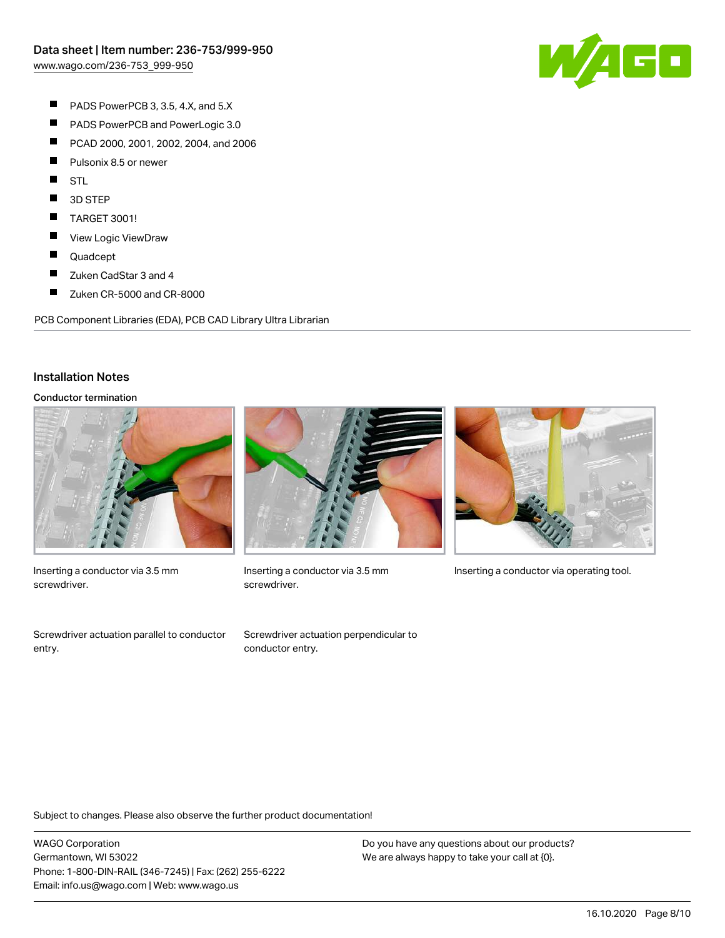

- $\blacksquare$ PADS PowerPCB 3, 3.5, 4.X, and 5.X
- $\blacksquare$ PADS PowerPCB and PowerLogic 3.0
- $\blacksquare$ PCAD 2000, 2001, 2002, 2004, and 2006
- $\blacksquare$ Pulsonix 8.5 or newer
- $\blacksquare$ STL
- $\blacksquare$ 3D STEP
- $\blacksquare$ TARGET 3001!
- $\blacksquare$ View Logic ViewDraw
- $\blacksquare$ Quadcept
- П Zuken CadStar 3 and 4
- $\blacksquare$ Zuken CR-5000 and CR-8000

PCB Component Libraries (EDA), PCB CAD Library Ultra Librarian

#### Installation Notes

#### Conductor termination



Inserting a conductor via 3.5 mm screwdriver.

Screwdriver actuation parallel to conductor entry.



screwdriver.







Subject to changes. Please also observe the further product documentation!

WAGO Corporation Germantown, WI 53022 Phone: 1-800-DIN-RAIL (346-7245) | Fax: (262) 255-6222 Email: info.us@wago.com | Web: www.wago.us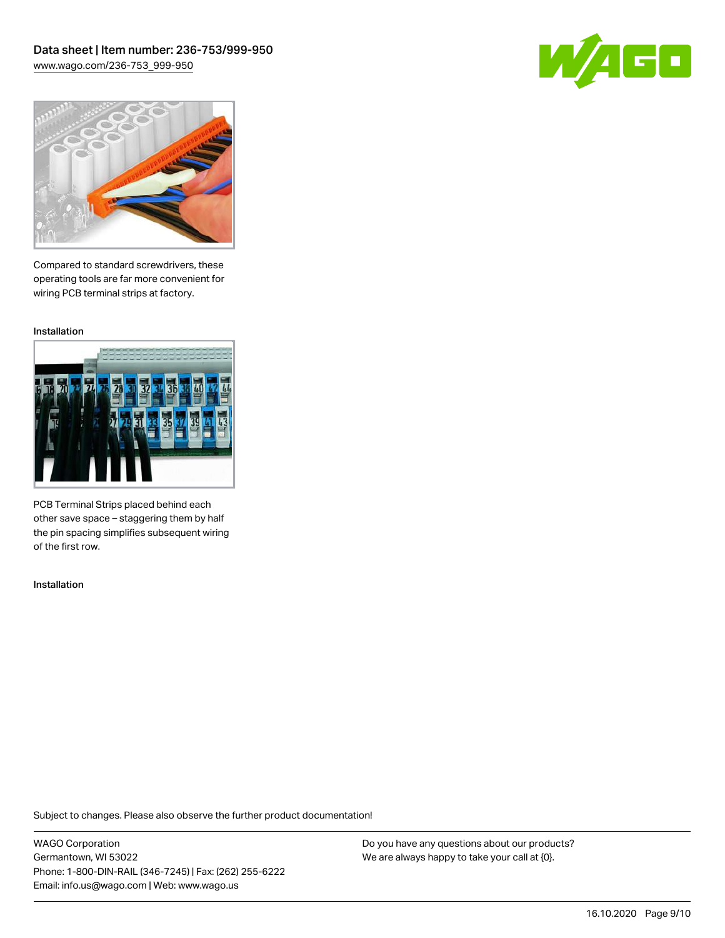Data sheet | Item number: 236-753/999-950 [www.wago.com/236-753\\_999-950](http://www.wago.com/236-753_999-950)





Compared to standard screwdrivers, these operating tools are far more convenient for wiring PCB terminal strips at factory.

Installation



PCB Terminal Strips placed behind each other save space – staggering them by half the pin spacing simplifies subsequent wiring of the first row.

Installation

Subject to changes. Please also observe the further product documentation!

WAGO Corporation Germantown, WI 53022 Phone: 1-800-DIN-RAIL (346-7245) | Fax: (262) 255-6222 Email: info.us@wago.com | Web: www.wago.us